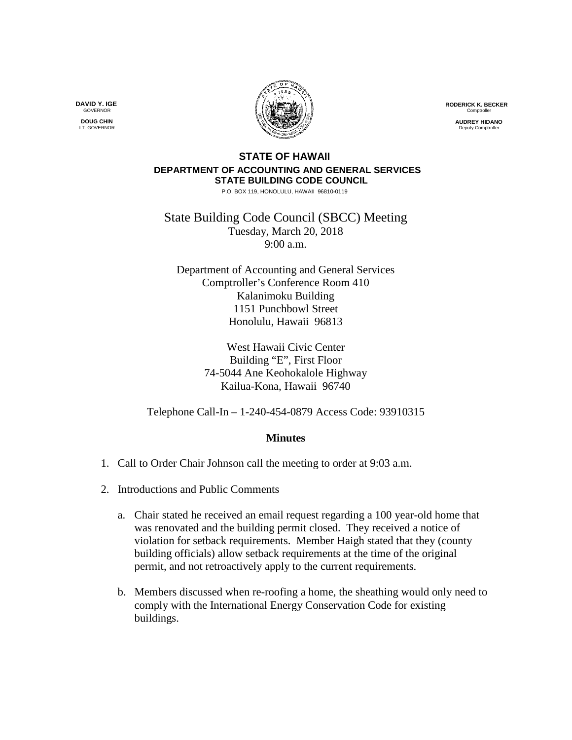**RODERICK K. BECKER** Comptrolle

> **AUDREY HIDANO** .<br>Deputy Comptr

## **STATE OF HAWAII DEPARTMENT OF ACCOUNTING AND GENERAL SERVICES STATE BUILDING CODE COUNCIL**

P.O. BOX 119, HONOLULU, HAWAII 96810-0119

State Building Code Council (SBCC) Meeting Tuesday, March 20, 2018 9:00 a.m.

Department of Accounting and General Services Comptroller's Conference Room 410 Kalanimoku Building 1151 Punchbowl Street Honolulu, Hawaii 96813

> West Hawaii Civic Center Building "E", First Floor 74-5044 Ane Keohokalole Highway Kailua-Kona, Hawaii 96740

Telephone Call-In – 1-240-454-0879 Access Code: 93910315

## **Minutes**

- 1. Call to Order Chair Johnson call the meeting to order at 9:03 a.m.
- 2. Introductions and Public Comments
	- a. Chair stated he received an email request regarding a 100 year-old home that was renovated and the building permit closed. They received a notice of violation for setback requirements. Member Haigh stated that they (county building officials) allow setback requirements at the time of the original permit, and not retroactively apply to the current requirements.
	- b. Members discussed when re-roofing a home, the sheathing would only need to comply with the International Energy Conservation Code for existing buildings.

**DAVID Y. IGE GOVERNOR DOUG CHIN**

LT. GOVERNOR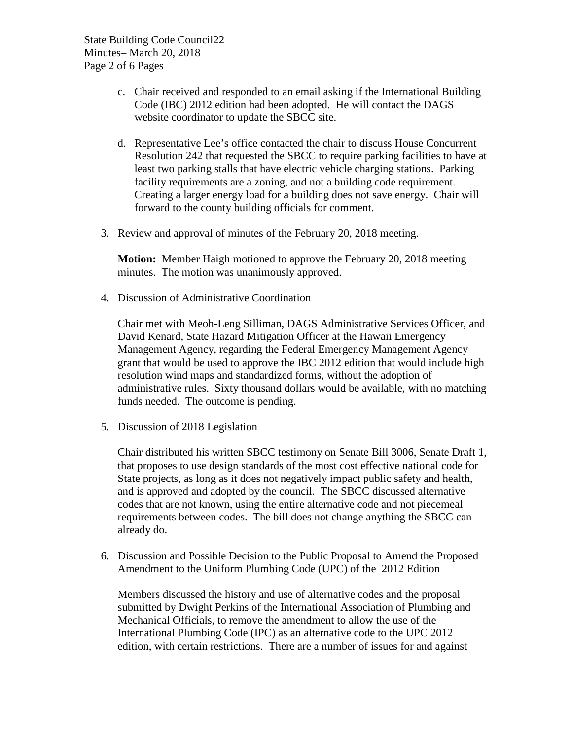State Building Code Council22 Minutes– March 20, 2018 Page 2 of 6 Pages

- c. Chair received and responded to an email asking if the International Building Code (IBC) 2012 edition had been adopted. He will contact the DAGS website coordinator to update the SBCC site.
- d. Representative Lee's office contacted the chair to discuss House Concurrent Resolution 242 that requested the SBCC to require parking facilities to have at least two parking stalls that have electric vehicle charging stations. Parking facility requirements are a zoning, and not a building code requirement. Creating a larger energy load for a building does not save energy. Chair will forward to the county building officials for comment.
- 3. Review and approval of minutes of the February 20, 2018 meeting.

**Motion:** Member Haigh motioned to approve the February 20, 2018 meeting minutes. The motion was unanimously approved.

4. Discussion of Administrative Coordination

Chair met with Meoh-Leng Silliman, DAGS Administrative Services Officer, and David Kenard, State Hazard Mitigation Officer at the Hawaii Emergency Management Agency, regarding the Federal Emergency Management Agency grant that would be used to approve the IBC 2012 edition that would include high resolution wind maps and standardized forms, without the adoption of administrative rules. Sixty thousand dollars would be available, with no matching funds needed. The outcome is pending.

5. Discussion of 2018 Legislation

Chair distributed his written SBCC testimony on Senate Bill 3006, Senate Draft 1, that proposes to use design standards of the most cost effective national code for State projects, as long as it does not negatively impact public safety and health, and is approved and adopted by the council. The SBCC discussed alternative codes that are not known, using the entire alternative code and not piecemeal requirements between codes. The bill does not change anything the SBCC can already do.

6. Discussion and Possible Decision to the Public Proposal to Amend the Proposed Amendment to the Uniform Plumbing Code (UPC) of the 2012 Edition

Members discussed the history and use of alternative codes and the proposal submitted by Dwight Perkins of the International Association of Plumbing and Mechanical Officials, to remove the amendment to allow the use of the International Plumbing Code (IPC) as an alternative code to the UPC 2012 edition, with certain restrictions. There are a number of issues for and against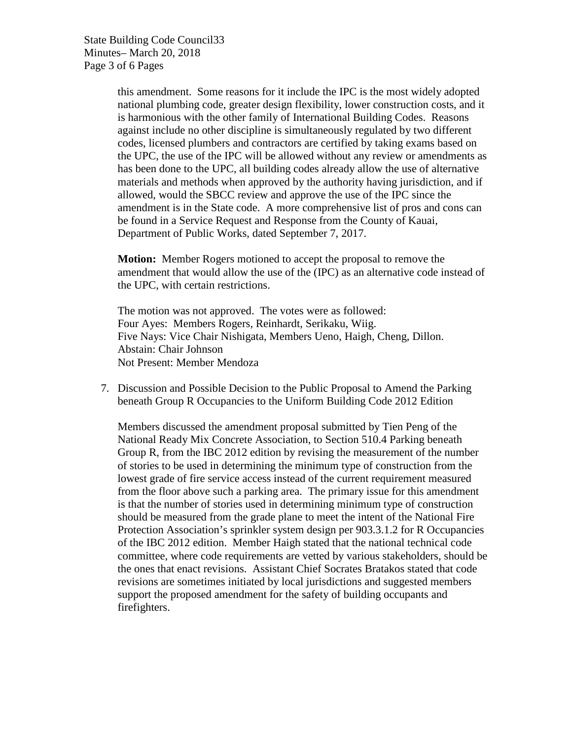State Building Code Council33 Minutes– March 20, 2018 Page 3 of 6 Pages

> this amendment. Some reasons for it include the IPC is the most widely adopted national plumbing code, greater design flexibility, lower construction costs, and it is harmonious with the other family of International Building Codes. Reasons against include no other discipline is simultaneously regulated by two different codes, licensed plumbers and contractors are certified by taking exams based on the UPC, the use of the IPC will be allowed without any review or amendments as has been done to the UPC, all building codes already allow the use of alternative materials and methods when approved by the authority having jurisdiction, and if allowed, would the SBCC review and approve the use of the IPC since the amendment is in the State code. A more comprehensive list of pros and cons can be found in a Service Request and Response from the County of Kauai, Department of Public Works, dated September 7, 2017.

> **Motion:** Member Rogers motioned to accept the proposal to remove the amendment that would allow the use of the (IPC) as an alternative code instead of the UPC, with certain restrictions.

The motion was not approved. The votes were as followed: Four Ayes: Members Rogers, Reinhardt, Serikaku, Wiig. Five Nays: Vice Chair Nishigata, Members Ueno, Haigh, Cheng, Dillon. Abstain: Chair Johnson Not Present: Member Mendoza

7. Discussion and Possible Decision to the Public Proposal to Amend the Parking beneath Group R Occupancies to the Uniform Building Code 2012 Edition

Members discussed the amendment proposal submitted by Tien Peng of the National Ready Mix Concrete Association, to Section 510.4 Parking beneath Group R, from the IBC 2012 edition by revising the measurement of the number of stories to be used in determining the minimum type of construction from the lowest grade of fire service access instead of the current requirement measured from the floor above such a parking area. The primary issue for this amendment is that the number of stories used in determining minimum type of construction should be measured from the grade plane to meet the intent of the National Fire Protection Association's sprinkler system design per 903.3.1.2 for R Occupancies of the IBC 2012 edition. Member Haigh stated that the national technical code committee, where code requirements are vetted by various stakeholders, should be the ones that enact revisions. Assistant Chief Socrates Bratakos stated that code revisions are sometimes initiated by local jurisdictions and suggested members support the proposed amendment for the safety of building occupants and firefighters.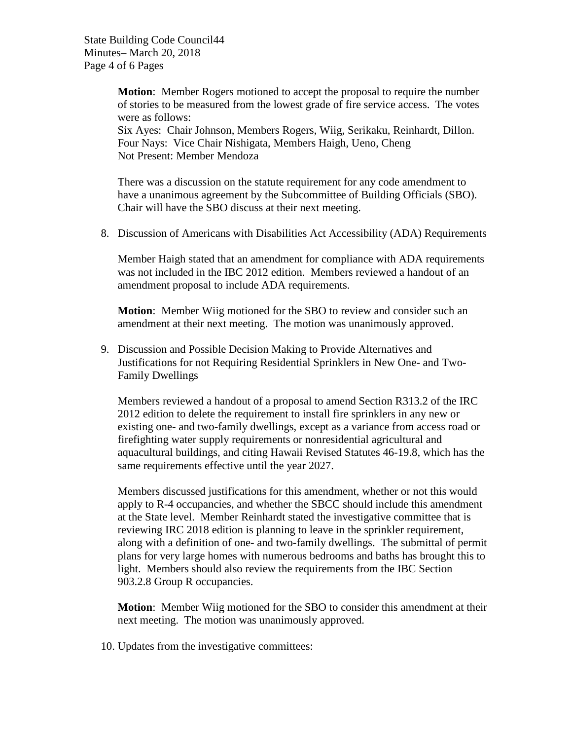State Building Code Council44 Minutes– March 20, 2018 Page 4 of 6 Pages

> **Motion**: Member Rogers motioned to accept the proposal to require the number of stories to be measured from the lowest grade of fire service access. The votes were as follows: Six Ayes: Chair Johnson, Members Rogers, Wiig, Serikaku, Reinhardt, Dillon. Four Nays: Vice Chair Nishigata, Members Haigh, Ueno, Cheng

Not Present: Member Mendoza

There was a discussion on the statute requirement for any code amendment to have a unanimous agreement by the Subcommittee of Building Officials (SBO). Chair will have the SBO discuss at their next meeting.

8. Discussion of Americans with Disabilities Act Accessibility (ADA) Requirements

Member Haigh stated that an amendment for compliance with ADA requirements was not included in the IBC 2012 edition. Members reviewed a handout of an amendment proposal to include ADA requirements.

**Motion**: Member Wiig motioned for the SBO to review and consider such an amendment at their next meeting. The motion was unanimously approved.

9. Discussion and Possible Decision Making to Provide Alternatives and Justifications for not Requiring Residential Sprinklers in New One- and Two-Family Dwellings

Members reviewed a handout of a proposal to amend Section R313.2 of the IRC 2012 edition to delete the requirement to install fire sprinklers in any new or existing one- and two-family dwellings, except as a variance from access road or firefighting water supply requirements or nonresidential agricultural and aquacultural buildings, and citing Hawaii Revised Statutes 46-19.8, which has the same requirements effective until the year 2027.

Members discussed justifications for this amendment, whether or not this would apply to R-4 occupancies, and whether the SBCC should include this amendment at the State level. Member Reinhardt stated the investigative committee that is reviewing IRC 2018 edition is planning to leave in the sprinkler requirement, along with a definition of one- and two-family dwellings. The submittal of permit plans for very large homes with numerous bedrooms and baths has brought this to light. Members should also review the requirements from the IBC Section 903.2.8 Group R occupancies.

**Motion**: Member Wiig motioned for the SBO to consider this amendment at their next meeting. The motion was unanimously approved.

10. Updates from the investigative committees: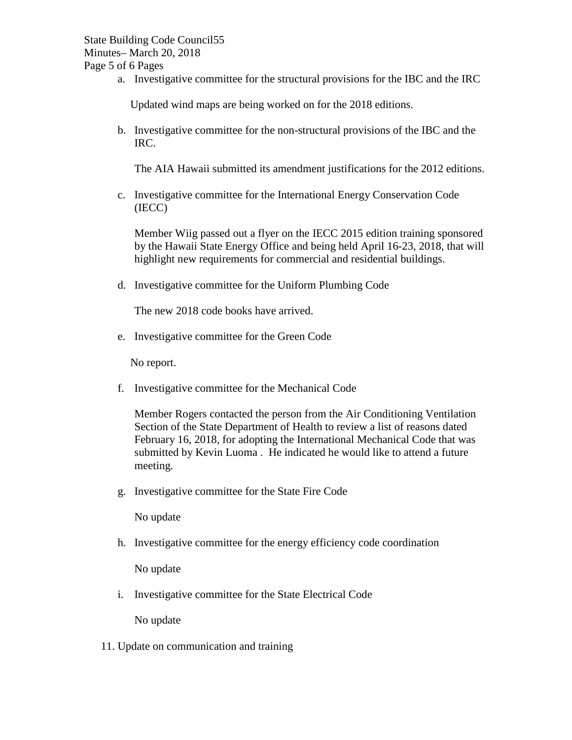a. Investigative committee for the structural provisions for the IBC and the IRC

Updated wind maps are being worked on for the 2018 editions.

b. Investigative committee for the non-structural provisions of the IBC and the IRC.

The AIA Hawaii submitted its amendment justifications for the 2012 editions.

c. Investigative committee for the International Energy Conservation Code (IECC)

Member Wiig passed out a flyer on the IECC 2015 edition training sponsored by the Hawaii State Energy Office and being held April 16-23, 2018, that will highlight new requirements for commercial and residential buildings.

d. Investigative committee for the Uniform Plumbing Code

The new 2018 code books have arrived.

e. Investigative committee for the Green Code

No report.

f. Investigative committee for the Mechanical Code

Member Rogers contacted the person from the Air Conditioning Ventilation Section of the State Department of Health to review a list of reasons dated February 16, 2018, for adopting the International Mechanical Code that was submitted by Kevin Luoma . He indicated he would like to attend a future meeting.

g. Investigative committee for the State Fire Code

No update

h. Investigative committee for the energy efficiency code coordination

No update

i. Investigative committee for the State Electrical Code

No update

11. Update on communication and training